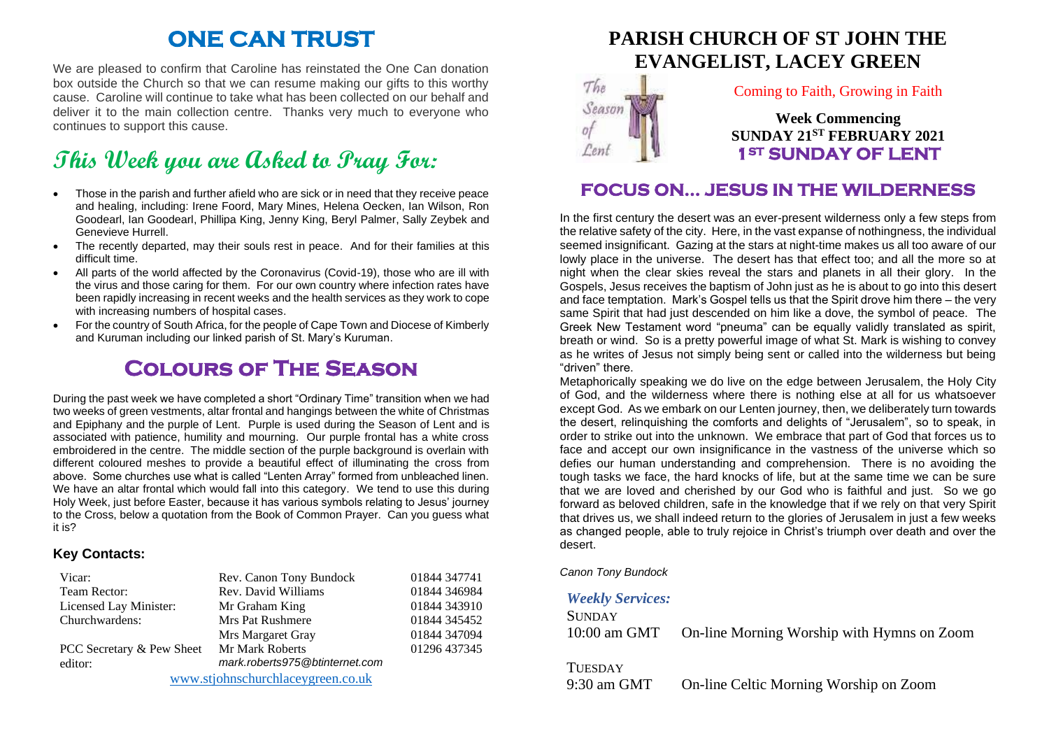## **ONE CAN TRUST**

We are pleased to confirm that Caroline has reinstated the One Can donation box outside the Church so that we can resume making our gifts to this worthy cause. Caroline will continue to take what has been collected on our behalf and deliver it to the main collection centre. Thanks very much to everyone who continues to support this cause.

# **This Week you are Asked to Pray For:**

- Those in the parish and further afield who are sick or in need that they receive peace and healing, including: Irene Foord, Mary Mines, Helena Oecken, Ian Wilson, Ron Goodearl, Ian Goodearl, Phillipa King, Jenny King, Beryl Palmer, Sally Zeybek and Genevieve Hurrell.
- The recently departed, may their souls rest in peace. And for their families at this difficult time.
- All parts of the world affected by the Coronavirus (Covid-19), those who are ill with the virus and those caring for them. For our own country where infection rates have been rapidly increasing in recent weeks and the health services as they work to cope with increasing numbers of hospital cases.
- For the country of South Africa, for the people of Cape Town and Diocese of Kimberly and Kuruman including our linked parish of St. Mary's Kuruman.

## **Colours of The Season**

During the past week we have completed a short "Ordinary Time" transition when we had two weeks of green vestments, altar frontal and hangings between the white of Christmas and Epiphany and the purple of Lent. Purple is used during the Season of Lent and is associated with patience, humility and mourning. Our purple frontal has a white cross embroidered in the centre. The middle section of the purple background is overlain with different coloured meshes to provide a beautiful effect of illuminating the cross from above. Some churches use what is called "Lenten Array" formed from unbleached linen. We have an altar frontal which would fall into this category. We tend to use this during Holy Week, just before Easter, because it has various symbols relating to Jesus' journey to the Cross, below a quotation from the Book of Common Prayer. Can you guess what it is?

#### **Key Contacts:**

| Vicar:                            | Rev. Canon Tony Bundock        | 01844 347741 |
|-----------------------------------|--------------------------------|--------------|
| Team Rector:                      | Rev. David Williams            | 01844 346984 |
| Licensed Lay Minister:            | Mr Graham King                 | 01844 343910 |
| Churchwardens:                    | Mrs Pat Rushmere               | 01844 345452 |
|                                   | Mrs Margaret Gray              | 01844 347094 |
| PCC Secretary & Pew Sheet         | Mr Mark Roberts                | 01296 437345 |
| editor:                           | mark.roberts975@btinternet.com |              |
| www.stjohnschurchlaceygreen.co.uk |                                |              |

## **PARISH CHURCH OF ST JOHN THE EVANGELIST, LACEY GREEN**



#### Coming to Faith, Growing in Faith

**Week Commencing SUNDAY 21ST FEBRUARY 2021 1ST SUNDAY OF LENT** 

## **FOCUS ON… JESUS IN THE WILDERNESS**

In the first century the desert was an ever-present wilderness only a few steps from the relative safety of the city. Here, in the vast expanse of nothingness, the individual seemed insignificant. Gazing at the stars at night-time makes us all too aware of our lowly place in the universe. The desert has that effect too; and all the more so at night when the clear skies reveal the stars and planets in all their glory. In the Gospels, Jesus receives the baptism of John just as he is about to go into this desert and face temptation. Mark's Gospel tells us that the Spirit drove him there – the very same Spirit that had just descended on him like a dove, the symbol of peace. The Greek New Testament word "pneuma" can be equally validly translated as spirit, breath or wind. So is a pretty powerful image of what St. Mark is wishing to convey as he writes of Jesus not simply being sent or called into the wilderness but being "driven" there.

Metaphorically speaking we do live on the edge between Jerusalem, the Holy City of God, and the wilderness where there is nothing else at all for us whatsoever except God. As we embark on our Lenten journey, then, we deliberately turn towards the desert, relinquishing the comforts and delights of "Jerusalem", so to speak, in order to strike out into the unknown. We embrace that part of God that forces us to face and accept our own insignificance in the vastness of the universe which so defies our human understanding and comprehension. There is no avoiding the tough tasks we face, the hard knocks of life, but at the same time we can be sure that we are loved and cherished by our God who is faithful and just. So we go forward as beloved children, safe in the knowledge that if we rely on that very Spirit that drives us, we shall indeed return to the glories of Jerusalem in just a few weeks as changed people, able to truly rejoice in Christ's triumph over death and over the desert.

*Canon Tony Bundock*

#### *Weekly Services:*

SUNDAY 10:00 am GMT On-line Morning Worship with Hymns on Zoom

**TUESDAY** 

9:30 am GMT On-line Celtic Morning Worship on Zoom